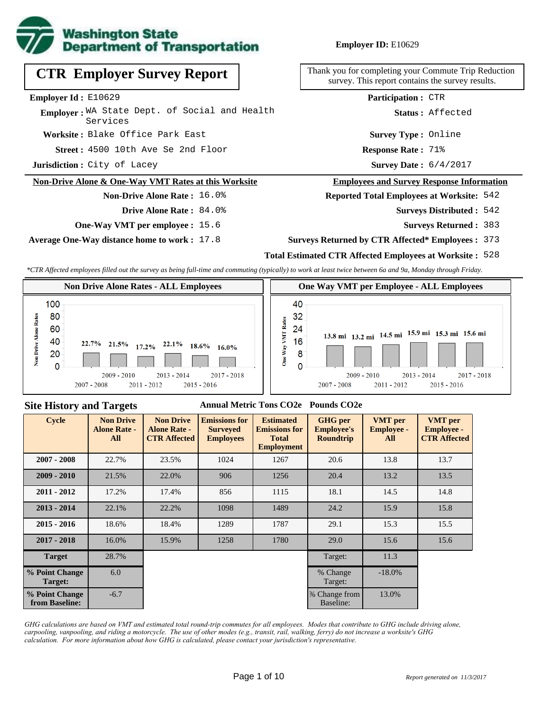

**CTR Employer Survey Report**

Employer: WA State Dept. of Social and Health

**Non-Drive Alone & One-Way VMT Rates at this Worksite**

**One-Way VMT per employee :** 15.6

**Non-Drive Alone Rate :** 16.0%

**Drive Alone Rate :** 84.0%

**Worksite :** Blake Office Park East

**Average One-Way distance home to work :** 17.8

Services

**Jurisdiction :** City of Lacey

**Employer Id :** E10629

### **Employer ID:** E10629

Thank you for completing your Commute Trip Reduction survey. This report contains the survey results.

**Participation :** CTR

**Status :** Affected

**Survey Type :** Online

4500 10th Ave Se 2nd Floor **Response Rate : Street : Response Rate: 71%** 

Survey Date:  $6/4/2017$ 

#### **Employees and Survey Response Information**

### **Reported Total Employees at Worksite:** 542

- 542 **Surveys Distributed :**
	- **Surveys Returned :** 383
- **Surveys Returned by CTR Affected\* Employees :** 373

# **Total Estimated CTR Affected Employees at Worksite :** 528

*\*CTR Affected employees filled out the survey as being full-time and commuting (typically) to work at least twice between 6a and 9a, Monday through Friday.*



#### **Site History and Targets**

#### **Annual Metric Tons CO2e Pounds CO2e**

| <b>Cycle</b>                     | <b>Non Drive</b><br><b>Alone Rate -</b><br>All | <b>Non Drive</b><br><b>Alone Rate -</b><br><b>CTR Affected</b> | <b>Emissions for</b><br><b>Surveyed</b><br><b>Employees</b> | <b>Estimated</b><br><b>Emissions for</b><br><b>Total</b><br><b>Employment</b> | <b>GHG</b> per<br><b>Employee's</b><br><b>Roundtrip</b> | <b>VMT</b> per<br><b>Employee -</b><br>All | <b>VMT</b> per<br><b>Employee -</b><br><b>CTR Affected</b> |
|----------------------------------|------------------------------------------------|----------------------------------------------------------------|-------------------------------------------------------------|-------------------------------------------------------------------------------|---------------------------------------------------------|--------------------------------------------|------------------------------------------------------------|
| $2007 - 2008$                    | 22.7%                                          | 23.5%                                                          | 1024                                                        | 1267                                                                          | 20.6                                                    | 13.8                                       | 13.7                                                       |
| $2009 - 2010$                    | 21.5%                                          | 22.0%                                                          | 906                                                         | 1256                                                                          | 20.4                                                    | 13.2                                       | 13.5                                                       |
| $2011 - 2012$                    | 17.2%                                          | 17.4%                                                          | 856                                                         | 1115                                                                          | 18.1                                                    | 14.5                                       | 14.8                                                       |
| $2013 - 2014$                    | 22.1%                                          | 22.2%                                                          | 1098                                                        | 1489                                                                          | 24.2                                                    | 15.9                                       | 15.8                                                       |
| $2015 - 2016$                    | 18.6%                                          | 18.4%                                                          | 1289                                                        | 1787                                                                          | 29.1                                                    | 15.3                                       | 15.5                                                       |
| $2017 - 2018$                    | 16.0%                                          | 15.9%                                                          | 1258                                                        | 1780                                                                          | 29.0                                                    | 15.6                                       | 15.6                                                       |
| <b>Target</b>                    | 28.7%                                          |                                                                |                                                             |                                                                               | Target:                                                 | 11.3                                       |                                                            |
| % Point Change<br>Target:        | 6.0                                            |                                                                |                                                             |                                                                               | % Change<br>Target:                                     | $-18.0\%$                                  |                                                            |
| % Point Change<br>from Baseline: | $-6.7$                                         |                                                                |                                                             |                                                                               | % Change from<br>Baseline:                              | 13.0%                                      |                                                            |

*GHG calculations are based on VMT and estimated total round-trip commutes for all employees. Modes that contribute to GHG include driving alone, carpooling, vanpooling, and riding a motorcycle. The use of other modes (e.g., transit, rail, walking, ferry) do not increase a worksite's GHG calculation. For more information about how GHG is calculated, please contact your jurisdiction's representative.*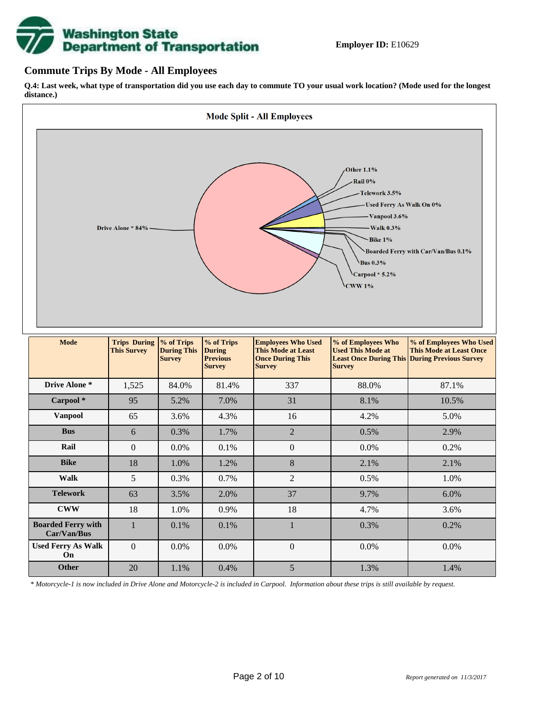

### **Commute Trips By Mode - All Employees**

**On**

**Q.4: Last week, what type of transportation did you use each day to commute TO your usual work location? (Mode used for the longest distance.)**



*\* Motorcycle-1 is now included in Drive Alone and Motorcycle-2 is included in Carpool. Information about these trips is still available by request.*

**Other** 20 1.1% 0.4% 5 1.3% 1.4%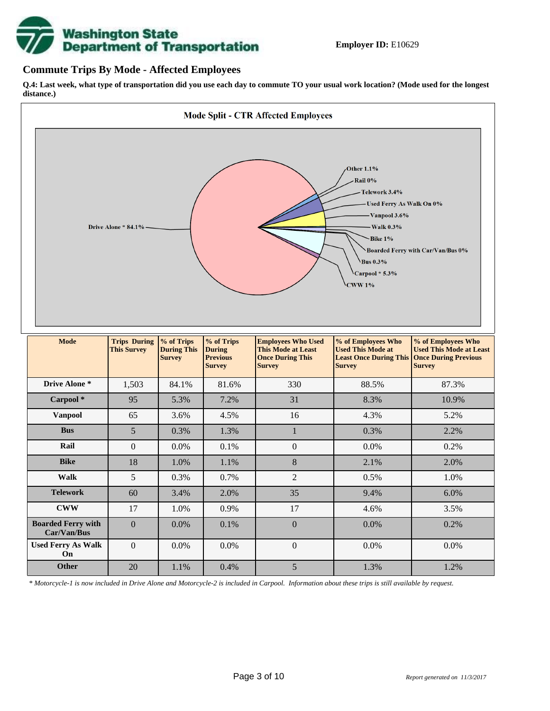

### **Commute Trips By Mode - Affected Employees**

**Q.4: Last week, what type of transportation did you use each day to commute TO your usual work location? (Mode used for the longest distance.)**



*\* Motorcycle-1 is now included in Drive Alone and Motorcycle-2 is included in Carpool. Information about these trips is still available by request.*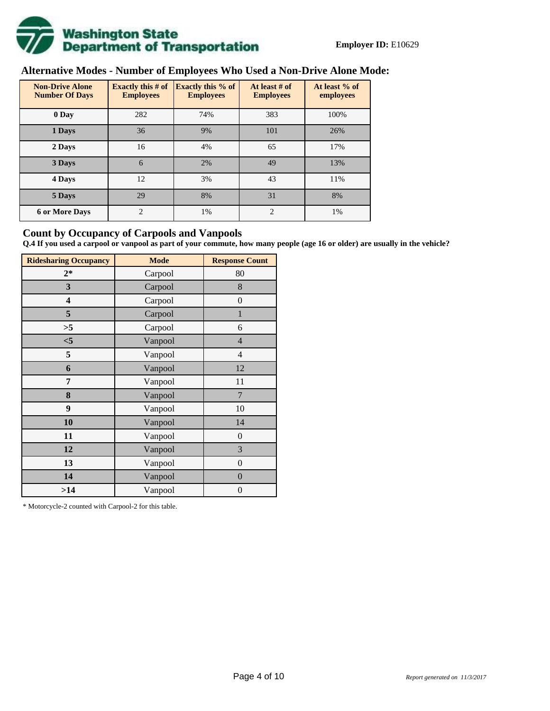

# **Alternative Modes - Number of Employees Who Used a Non-Drive Alone Mode:**

| <b>Non-Drive Alone</b><br><b>Number Of Days</b> | <b>Exactly this # of</b><br><b>Employees</b> | <b>Exactly this % of</b><br><b>Employees</b> | At least # of<br><b>Employees</b> | At least % of<br>employees |
|-------------------------------------------------|----------------------------------------------|----------------------------------------------|-----------------------------------|----------------------------|
| 0 Day                                           | 282                                          | 74%                                          | 383                               | 100%                       |
| 1 Days                                          | 36                                           | 9%                                           | 101                               | 26%                        |
| 2 Days                                          | 16                                           | 4%                                           | 65                                | 17%                        |
| 3 Days                                          | 6                                            | 2%                                           | 49                                | 13%                        |
| 4 Days                                          | 12                                           | 3%                                           | 43                                | 11%                        |
| 5 Days                                          | 29                                           | 8%                                           | 31                                | 8%                         |
| <b>6 or More Days</b>                           | $\overline{c}$                               | 1%                                           | 2                                 | 1%                         |

### **Count by Occupancy of Carpools and Vanpools**

**Q.4 If you used a carpool or vanpool as part of your commute, how many people (age 16 or older) are usually in the vehicle?**

| <b>Ridesharing Occupancy</b> | <b>Mode</b> | <b>Response Count</b> |
|------------------------------|-------------|-----------------------|
| $2*$                         | Carpool     | 80                    |
| 3                            | Carpool     | 8                     |
| 4                            | Carpool     | $\boldsymbol{0}$      |
| 5                            | Carpool     | 1                     |
| >5                           | Carpool     | 6                     |
| $<$ 5                        | Vanpool     | $\overline{4}$        |
| 5                            | Vanpool     | $\overline{4}$        |
| 6                            | Vanpool     | 12                    |
| 7                            | Vanpool     | 11                    |
| 8                            | Vanpool     | 7                     |
| 9                            | Vanpool     | 10                    |
| 10                           | Vanpool     | 14                    |
| 11                           | Vanpool     | $\boldsymbol{0}$      |
| 12                           | Vanpool     | 3                     |
| 13                           | Vanpool     | $\boldsymbol{0}$      |
| 14                           | Vanpool     | $\overline{0}$        |
| >14                          | Vanpool     | $\boldsymbol{0}$      |

\* Motorcycle-2 counted with Carpool-2 for this table.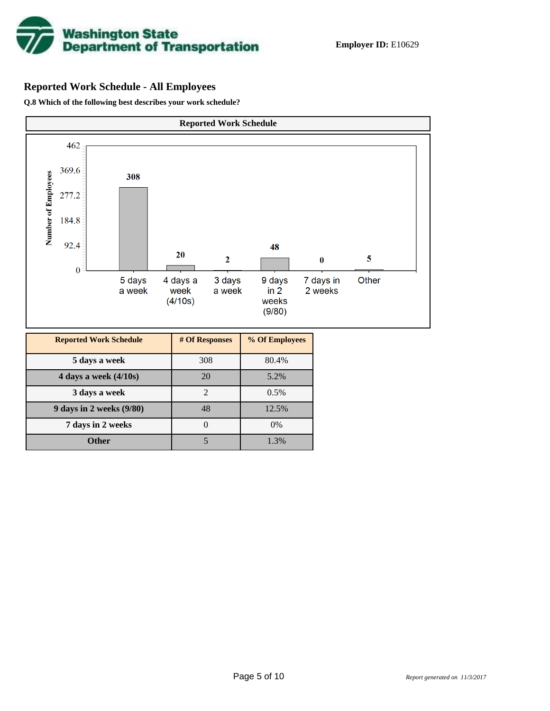

## **Reported Work Schedule - All Employees**

**Q.8 Which of the following best describes your work schedule?**

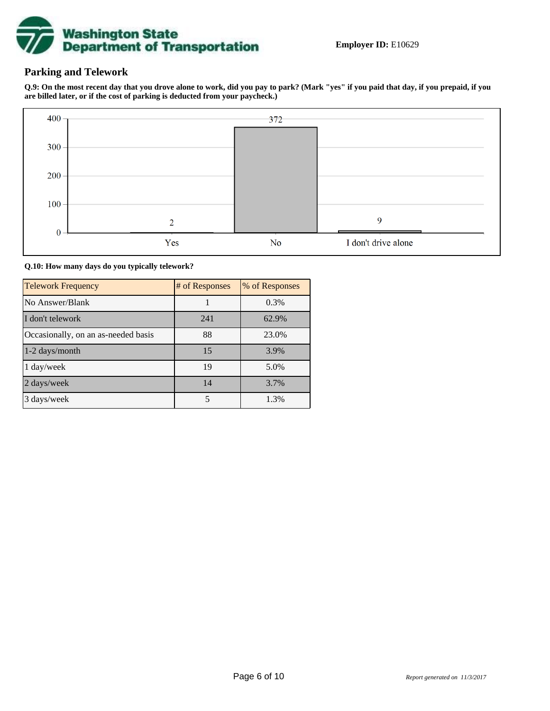

## **Parking and Telework**

**Q.9: On the most recent day that you drove alone to work, did you pay to park? (Mark "yes" if you paid that day, if you prepaid, if you are billed later, or if the cost of parking is deducted from your paycheck.)**



**Q.10: How many days do you typically telework?**

| <b>Telework Frequency</b>           | # of Responses | % of Responses |
|-------------------------------------|----------------|----------------|
| No Answer/Blank                     |                | 0.3%           |
| I don't telework                    | 241            | 62.9%          |
| Occasionally, on an as-needed basis | 88             | 23.0%          |
| 1-2 days/month                      | 15             | 3.9%           |
| 1 day/week                          | 19             | 5.0%           |
| 2 days/week                         | 14             | 3.7%           |
| 3 days/week                         | 5              | 1.3%           |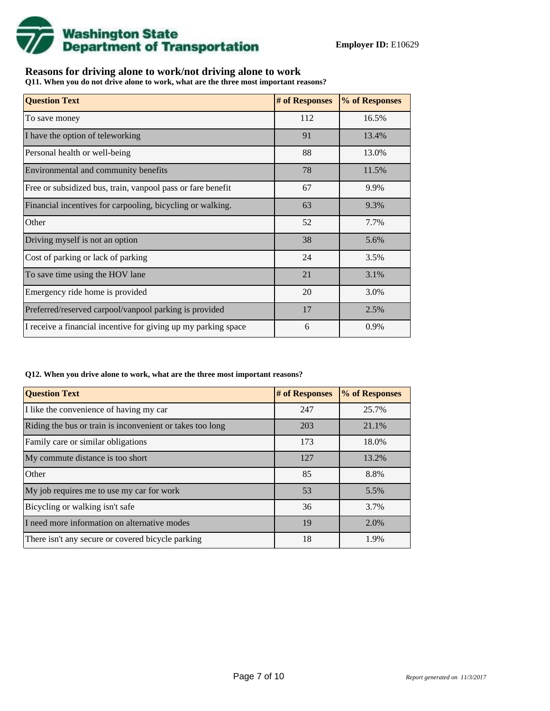

## **Reasons for driving alone to work/not driving alone to work**

**Q11. When you do not drive alone to work, what are the three most important reasons?**

| <b>Question Text</b>                                           | # of Responses | % of Responses |
|----------------------------------------------------------------|----------------|----------------|
| To save money                                                  | 112            | 16.5%          |
| I have the option of teleworking                               | 91             | 13.4%          |
| Personal health or well-being                                  | 88             | 13.0%          |
| Environmental and community benefits                           | 78             | 11.5%          |
| Free or subsidized bus, train, vanpool pass or fare benefit    | 67             | 9.9%           |
| Financial incentives for carpooling, bicycling or walking.     | 63             | 9.3%           |
| Other                                                          | 52             | 7.7%           |
| Driving myself is not an option                                | 38             | 5.6%           |
| Cost of parking or lack of parking                             | 24             | 3.5%           |
| To save time using the HOV lane                                | 21             | 3.1%           |
| Emergency ride home is provided                                | 20             | 3.0%           |
| Preferred/reserved carpool/vanpool parking is provided         | 17             | 2.5%           |
| I receive a financial incentive for giving up my parking space | 6              | 0.9%           |

#### **Q12. When you drive alone to work, what are the three most important reasons?**

| <b>Question Text</b>                                      | # of Responses | % of Responses |
|-----------------------------------------------------------|----------------|----------------|
| I like the convenience of having my car                   | 247            | 25.7%          |
| Riding the bus or train is inconvenient or takes too long | 203            | 21.1%          |
| Family care or similar obligations                        | 173            | 18.0%          |
| My commute distance is too short                          | 127            | 13.2%          |
| Other                                                     | 85             | 8.8%           |
| My job requires me to use my car for work                 | 53             | 5.5%           |
| Bicycling or walking isn't safe                           | 36             | 3.7%           |
| I need more information on alternative modes              | 19             | 2.0%           |
| There isn't any secure or covered bicycle parking         | 18             | 1.9%           |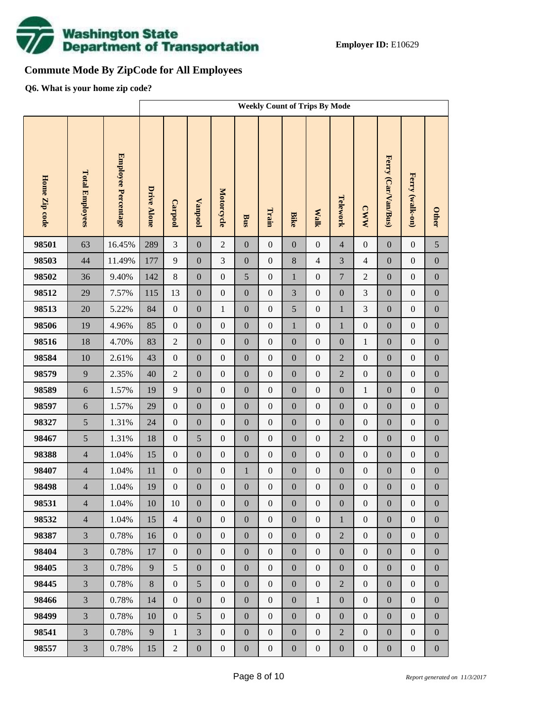

# **Commute Mode By ZipCode for All Employees**

**Q6. What is your home zip code?**

|               |                        |                     | <b>Weekly Count of Trips By Mode</b> |                  |                  |                  |                  |                  |                  |                  |                  |                  |                     |                  |                  |
|---------------|------------------------|---------------------|--------------------------------------|------------------|------------------|------------------|------------------|------------------|------------------|------------------|------------------|------------------|---------------------|------------------|------------------|
| Home Zip code | <b>Total Employees</b> | Employee Percentage | Drive Alone                          | Carpool          | <b>Vanpool</b>   | Motorcycle       | <b>Bus</b>       | Train            | <b>Bike</b>      | <b>Walk</b>      | Telework         | <b>CWW</b>       | Ferry (Car/Van/Bus) | Ferry (walk-on)  | <b>Other</b>     |
| 98501         | 63                     | 16.45%              | 289                                  | $\overline{3}$   | $\boldsymbol{0}$ | $\overline{2}$   | $\overline{0}$   | $\mathbf{0}$     | $\overline{0}$   | $\boldsymbol{0}$ | $\overline{4}$   | $\boldsymbol{0}$ | $\boldsymbol{0}$    | $\boldsymbol{0}$ | 5                |
| 98503         | 44                     | 11.49%              | 177                                  | 9                | $\boldsymbol{0}$ | 3                | $\boldsymbol{0}$ | $\overline{0}$   | $\,8\,$          | $\overline{4}$   | 3                | $\overline{4}$   | $\boldsymbol{0}$    | $\boldsymbol{0}$ | $\boldsymbol{0}$ |
| 98502         | 36                     | 9.40%               | 142                                  | $8\,$            | $\boldsymbol{0}$ | $\boldsymbol{0}$ | 5                | $\boldsymbol{0}$ | $\mathbf{1}$     | $\boldsymbol{0}$ | $\overline{7}$   | $\overline{2}$   | $\boldsymbol{0}$    | $\boldsymbol{0}$ | $\boldsymbol{0}$ |
| 98512         | 29                     | 7.57%               | 115                                  | 13               | $\boldsymbol{0}$ | $\boldsymbol{0}$ | $\boldsymbol{0}$ | $\boldsymbol{0}$ | 3                | $\boldsymbol{0}$ | $\mathbf{0}$     | 3                | $\boldsymbol{0}$    | $\boldsymbol{0}$ | $\boldsymbol{0}$ |
| 98513         | 20                     | 5.22%               | 84                                   | $\boldsymbol{0}$ | $\boldsymbol{0}$ | $\mathbf{1}$     | $\boldsymbol{0}$ | $\boldsymbol{0}$ | 5                | $\boldsymbol{0}$ | $\mathbf{1}$     | $\mathfrak{Z}$   | $\boldsymbol{0}$    | $\boldsymbol{0}$ | $\boldsymbol{0}$ |
| 98506         | 19                     | 4.96%               | 85                                   | $\mathbf{0}$     | $\boldsymbol{0}$ | $\boldsymbol{0}$ | $\boldsymbol{0}$ | $\boldsymbol{0}$ | $\mathbf{1}$     | $\boldsymbol{0}$ | $\mathbf{1}$     | $\boldsymbol{0}$ | $\boldsymbol{0}$    | $\boldsymbol{0}$ | $\boldsymbol{0}$ |
| 98516         | 18                     | 4.70%               | 83                                   | $\sqrt{2}$       | $\boldsymbol{0}$ | $\boldsymbol{0}$ | $\boldsymbol{0}$ | $\boldsymbol{0}$ | $\boldsymbol{0}$ | $\boldsymbol{0}$ | $\boldsymbol{0}$ | $\,1\,$          | $\boldsymbol{0}$    | $\boldsymbol{0}$ | $\boldsymbol{0}$ |
| 98584         | 10                     | 2.61%               | 43                                   | $\boldsymbol{0}$ | $\boldsymbol{0}$ | $\boldsymbol{0}$ | $\boldsymbol{0}$ | $\mathbf{0}$     | $\overline{0}$   | $\boldsymbol{0}$ | $\overline{2}$   | $\boldsymbol{0}$ | $\boldsymbol{0}$    | $\boldsymbol{0}$ | $\boldsymbol{0}$ |
| 98579         | 9                      | 2.35%               | 40                                   | $\sqrt{2}$       | $\boldsymbol{0}$ | $\boldsymbol{0}$ | $\boldsymbol{0}$ | $\boldsymbol{0}$ | $\boldsymbol{0}$ | $\boldsymbol{0}$ | $\overline{2}$   | $\boldsymbol{0}$ | $\boldsymbol{0}$    | $\boldsymbol{0}$ | $\boldsymbol{0}$ |
| 98589         | 6                      | 1.57%               | 19                                   | 9                | $\boldsymbol{0}$ | $\boldsymbol{0}$ | $\boldsymbol{0}$ | $\boldsymbol{0}$ | $\overline{0}$   | $\boldsymbol{0}$ | $\boldsymbol{0}$ | $\mathbf{1}$     | $\boldsymbol{0}$    | $\boldsymbol{0}$ | $\boldsymbol{0}$ |
| 98597         | $\sqrt{6}$             | 1.57%               | 29                                   | $\boldsymbol{0}$ | $\boldsymbol{0}$ | $\boldsymbol{0}$ | $\boldsymbol{0}$ | $\boldsymbol{0}$ | $\boldsymbol{0}$ | $\boldsymbol{0}$ | $\boldsymbol{0}$ | $\boldsymbol{0}$ | $\boldsymbol{0}$    | $\boldsymbol{0}$ | $\boldsymbol{0}$ |
| 98327         | 5                      | 1.31%               | 24                                   | $\boldsymbol{0}$ | $\boldsymbol{0}$ | $\boldsymbol{0}$ | $\boldsymbol{0}$ | $\boldsymbol{0}$ | $\overline{0}$   | $\boldsymbol{0}$ | $\boldsymbol{0}$ | $\boldsymbol{0}$ | $\boldsymbol{0}$    | $\boldsymbol{0}$ | $\boldsymbol{0}$ |
| 98467         | 5                      | 1.31%               | $18\,$                               | $\boldsymbol{0}$ | 5                | $\boldsymbol{0}$ | $\boldsymbol{0}$ | $\boldsymbol{0}$ | $\boldsymbol{0}$ | $\boldsymbol{0}$ | $\overline{2}$   | $\boldsymbol{0}$ | $\boldsymbol{0}$    | $\boldsymbol{0}$ | $\boldsymbol{0}$ |
| 98388         | $\overline{4}$         | 1.04%               | 15                                   | $\boldsymbol{0}$ | $\boldsymbol{0}$ | $\mathbf{0}$     | $\boldsymbol{0}$ | $\overline{0}$   | $\overline{0}$   | $\boldsymbol{0}$ | $\boldsymbol{0}$ | $\boldsymbol{0}$ | $\boldsymbol{0}$    | $\boldsymbol{0}$ | $\boldsymbol{0}$ |
| 98407         | $\overline{4}$         | 1.04%               | $11\,$                               | $\boldsymbol{0}$ | $\boldsymbol{0}$ | $\boldsymbol{0}$ | $\mathbf{1}$     | $\boldsymbol{0}$ | $\boldsymbol{0}$ | $\boldsymbol{0}$ | $\boldsymbol{0}$ | $\boldsymbol{0}$ | $\boldsymbol{0}$    | $\boldsymbol{0}$ | $\boldsymbol{0}$ |
| 98498         | $\overline{4}$         | 1.04%               | 19                                   | $\boldsymbol{0}$ | $\boldsymbol{0}$ | $\boldsymbol{0}$ | $\boldsymbol{0}$ | $\boldsymbol{0}$ | $\boldsymbol{0}$ | $\boldsymbol{0}$ | $\boldsymbol{0}$ | $\boldsymbol{0}$ | $\boldsymbol{0}$    | $\boldsymbol{0}$ | $\boldsymbol{0}$ |
| 98531         | $\overline{4}$         | 1.04%               | $10\,$                               | $10\,$           | $\overline{0}$   | $\boldsymbol{0}$ | $\boldsymbol{0}$ | $\boldsymbol{0}$ | $\mathbf{0}$     | $\mathbf{0}$     | $\boldsymbol{0}$ | $\boldsymbol{0}$ | $\boldsymbol{0}$    | $\boldsymbol{0}$ | $\overline{0}$   |
| 98532         | $\overline{4}$         | 1.04%               | 15                                   | $\overline{4}$   | $\mathbf{0}$     | $\overline{0}$   | $\boldsymbol{0}$ | $\mathbf{0}$     | $\mathbf{0}$     | $\mathbf{0}$     | $\mathbf{1}$     | $\boldsymbol{0}$ | $\boldsymbol{0}$    | $\boldsymbol{0}$ | $\overline{0}$   |
| 98387         | $\overline{3}$         | 0.78%               | 16                                   | $\mathbf{0}$     | $\boldsymbol{0}$ | $\boldsymbol{0}$ | $\boldsymbol{0}$ | $\boldsymbol{0}$ | $\mathbf{0}$     | $\boldsymbol{0}$ | $\overline{2}$   | $\boldsymbol{0}$ | $\boldsymbol{0}$    | $\boldsymbol{0}$ | $\boldsymbol{0}$ |
| 98404         | $\overline{3}$         | 0.78%               | 17                                   | $\mathbf{0}$     | $\boldsymbol{0}$ | $\boldsymbol{0}$ | $\boldsymbol{0}$ | $\boldsymbol{0}$ | $\boldsymbol{0}$ | $\boldsymbol{0}$ | $\boldsymbol{0}$ | $\boldsymbol{0}$ | $\boldsymbol{0}$    | $\boldsymbol{0}$ | $\boldsymbol{0}$ |
| 98405         | $\overline{3}$         | 0.78%               | 9                                    | 5                | $\boldsymbol{0}$ | $\boldsymbol{0}$ | $\boldsymbol{0}$ | $\mathbf{0}$     | $\mathbf{0}$     | $\boldsymbol{0}$ | $\boldsymbol{0}$ | $\boldsymbol{0}$ | $\boldsymbol{0}$    | $\boldsymbol{0}$ | $\boldsymbol{0}$ |
| 98445         | $\overline{3}$         | 0.78%               | $8\,$                                | $\mathbf{0}$     | 5                | $\boldsymbol{0}$ | $\boldsymbol{0}$ | $\boldsymbol{0}$ | $\boldsymbol{0}$ | $\boldsymbol{0}$ | $\overline{2}$   | $\boldsymbol{0}$ | $\boldsymbol{0}$    | $\boldsymbol{0}$ | $\boldsymbol{0}$ |
| 98466         | $\overline{3}$         | 0.78%               | 14                                   | $\mathbf{0}$     | $\boldsymbol{0}$ | $\boldsymbol{0}$ | $\boldsymbol{0}$ | $\mathbf{0}$     | $\mathbf{0}$     | $\mathbf{1}$     | $\boldsymbol{0}$ | $\boldsymbol{0}$ | $\boldsymbol{0}$    | $\boldsymbol{0}$ | $\boldsymbol{0}$ |
| 98499         | $\overline{3}$         | 0.78%               | 10                                   | $\boldsymbol{0}$ | 5                | $\boldsymbol{0}$ | $\boldsymbol{0}$ | $\boldsymbol{0}$ | $\boldsymbol{0}$ | $\mathbf{0}$     | $\boldsymbol{0}$ | $\boldsymbol{0}$ | $\boldsymbol{0}$    | $\boldsymbol{0}$ | $\boldsymbol{0}$ |
| 98541         | $\overline{3}$         | 0.78%               | 9                                    | $\mathbf{1}$     | 3                | $\boldsymbol{0}$ | $\boldsymbol{0}$ | $\boldsymbol{0}$ | $\mathbf{0}$     | $\boldsymbol{0}$ | $\overline{2}$   | $\boldsymbol{0}$ | $\boldsymbol{0}$    | $\boldsymbol{0}$ | $\boldsymbol{0}$ |
| 98557         | $\mathfrak{Z}$         | 0.78%               | 15                                   | $\overline{2}$   | $\boldsymbol{0}$ | $\boldsymbol{0}$ | $\boldsymbol{0}$ | $\boldsymbol{0}$ | $\boldsymbol{0}$ | $\boldsymbol{0}$ | $\boldsymbol{0}$ | $\boldsymbol{0}$ | $\boldsymbol{0}$    | $\boldsymbol{0}$ | $\boldsymbol{0}$ |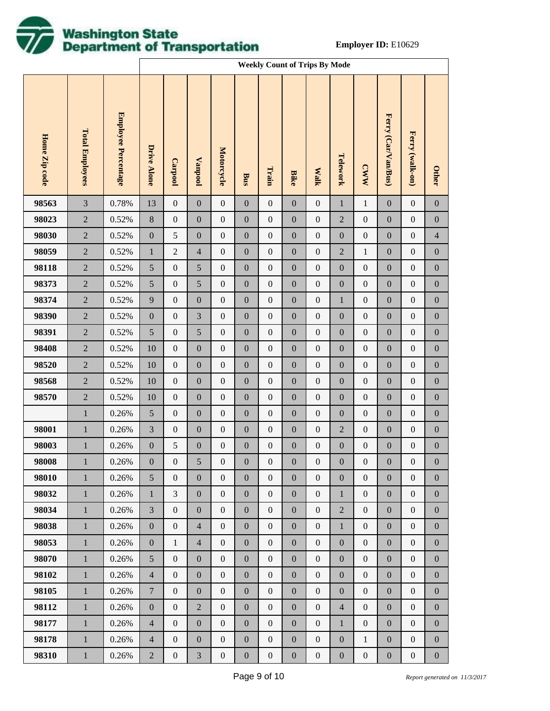

|               |                        |                     |                  | <b>Weekly Count of Trips By Mode</b> |                  |                   |                  |                  |                  |                  |                  |                  |                     |                  |                  |
|---------------|------------------------|---------------------|------------------|--------------------------------------|------------------|-------------------|------------------|------------------|------------------|------------------|------------------|------------------|---------------------|------------------|------------------|
| Home Zip code | <b>Total Employees</b> | Employee Percentage | Drive Alone      | <b>Carpool</b>                       | <b>Lanpool</b>   | <b>Motorcycle</b> | Bus              | Train            | <b>Bike</b>      | <b>Walk</b>      | Telework         | <b>CWW</b>       | Ferry (Car/Van/Bus) | Ferry (walk-on)  | <b>Other</b>     |
| 98563         | $\mathfrak{Z}$         | 0.78%               | 13               | $\boldsymbol{0}$                     | $\boldsymbol{0}$ | $\boldsymbol{0}$  | $\boldsymbol{0}$ | $\boldsymbol{0}$ | $\boldsymbol{0}$ | $\boldsymbol{0}$ | $\mathbf{1}$     | $\,1$            | $\boldsymbol{0}$    | $\boldsymbol{0}$ | $\boldsymbol{0}$ |
| 98023         | $\sqrt{2}$             | 0.52%               | $8\,$            | $\boldsymbol{0}$                     | $\boldsymbol{0}$ | $\boldsymbol{0}$  | $\boldsymbol{0}$ | $\boldsymbol{0}$ | $\boldsymbol{0}$ | $\boldsymbol{0}$ | $\sqrt{2}$       | $\boldsymbol{0}$ | $\boldsymbol{0}$    | $\boldsymbol{0}$ | $\boldsymbol{0}$ |
| 98030         | $\sqrt{2}$             | 0.52%               | $\boldsymbol{0}$ | $\mathfrak s$                        | $\boldsymbol{0}$ | $\boldsymbol{0}$  | $\boldsymbol{0}$ | $\boldsymbol{0}$ | $\boldsymbol{0}$ | $\boldsymbol{0}$ | $\boldsymbol{0}$ | $\boldsymbol{0}$ | $\boldsymbol{0}$    | $\boldsymbol{0}$ | $\overline{4}$   |
| 98059         | $\sqrt{2}$             | 0.52%               | $\mathbf{1}$     | $\sqrt{2}$                           | $\overline{4}$   | $\boldsymbol{0}$  | $\boldsymbol{0}$ | $\boldsymbol{0}$ | $\boldsymbol{0}$ | $\boldsymbol{0}$ | $\sqrt{2}$       | $\mathbf{1}$     | $\boldsymbol{0}$    | $\boldsymbol{0}$ | $\boldsymbol{0}$ |
| 98118         | $\sqrt{2}$             | 0.52%               | $\sqrt{5}$       | $\boldsymbol{0}$                     | 5                | $\boldsymbol{0}$  | $\boldsymbol{0}$ | $\boldsymbol{0}$ | $\boldsymbol{0}$ | $\boldsymbol{0}$ | $\boldsymbol{0}$ | $\boldsymbol{0}$ | $\boldsymbol{0}$    | $\boldsymbol{0}$ | $\boldsymbol{0}$ |
| 98373         | $\sqrt{2}$             | 0.52%               | $\sqrt{5}$       | $\boldsymbol{0}$                     | 5                | $\boldsymbol{0}$  | $\boldsymbol{0}$ | $\boldsymbol{0}$ | $\boldsymbol{0}$ | $\boldsymbol{0}$ | $\boldsymbol{0}$ | $\boldsymbol{0}$ | $\boldsymbol{0}$    | $\boldsymbol{0}$ | $\boldsymbol{0}$ |
| 98374         | $\sqrt{2}$             | 0.52%               | 9                | $\boldsymbol{0}$                     | $\boldsymbol{0}$ | $\boldsymbol{0}$  | $\boldsymbol{0}$ | $\boldsymbol{0}$ | $\boldsymbol{0}$ | $\boldsymbol{0}$ | $\,1$            | $\boldsymbol{0}$ | $\boldsymbol{0}$    | $\boldsymbol{0}$ | $\boldsymbol{0}$ |
| 98390         | $\sqrt{2}$             | 0.52%               | $\boldsymbol{0}$ | $\boldsymbol{0}$                     | 3                | $\boldsymbol{0}$  | $\boldsymbol{0}$ | $\boldsymbol{0}$ | $\boldsymbol{0}$ | $\boldsymbol{0}$ | $\boldsymbol{0}$ | $\boldsymbol{0}$ | $\boldsymbol{0}$    | $\boldsymbol{0}$ | $\boldsymbol{0}$ |
| 98391         | $\sqrt{2}$             | 0.52%               | $\mathfrak{S}$   | $\boldsymbol{0}$                     | 5                | $\boldsymbol{0}$  | $\boldsymbol{0}$ | $\boldsymbol{0}$ | $\boldsymbol{0}$ | $\boldsymbol{0}$ | $\boldsymbol{0}$ | $\boldsymbol{0}$ | $\boldsymbol{0}$    | $\boldsymbol{0}$ | $\boldsymbol{0}$ |
| 98408         | $\sqrt{2}$             | 0.52%               | 10               | $\boldsymbol{0}$                     | $\boldsymbol{0}$ | $\boldsymbol{0}$  | $\boldsymbol{0}$ | $\boldsymbol{0}$ | $\boldsymbol{0}$ | $\boldsymbol{0}$ | $\boldsymbol{0}$ | $\boldsymbol{0}$ | $\boldsymbol{0}$    | $\boldsymbol{0}$ | $\boldsymbol{0}$ |
| 98520         | $\sqrt{2}$             | 0.52%               | 10               | $\boldsymbol{0}$                     | $\boldsymbol{0}$ | $\boldsymbol{0}$  | $\boldsymbol{0}$ | $\boldsymbol{0}$ | $\boldsymbol{0}$ | $\boldsymbol{0}$ | $\boldsymbol{0}$ | $\boldsymbol{0}$ | $\boldsymbol{0}$    | $\boldsymbol{0}$ | $\boldsymbol{0}$ |
| 98568         | $\sqrt{2}$             | 0.52%               | 10               | $\boldsymbol{0}$                     | $\boldsymbol{0}$ | $\boldsymbol{0}$  | $\boldsymbol{0}$ | $\boldsymbol{0}$ | $\boldsymbol{0}$ | $\boldsymbol{0}$ | $\boldsymbol{0}$ | $\boldsymbol{0}$ | $\boldsymbol{0}$    | $\boldsymbol{0}$ | $\boldsymbol{0}$ |
| 98570         | $\sqrt{2}$             | 0.52%               | 10               | $\boldsymbol{0}$                     | $\boldsymbol{0}$ | $\boldsymbol{0}$  | $\boldsymbol{0}$ | $\boldsymbol{0}$ | $\boldsymbol{0}$ | $\boldsymbol{0}$ | $\boldsymbol{0}$ | $\boldsymbol{0}$ | $\boldsymbol{0}$    | $\boldsymbol{0}$ | $\boldsymbol{0}$ |
|               | $\mathbf{1}$           | 0.26%               | $\mathfrak{S}$   | $\boldsymbol{0}$                     | $\boldsymbol{0}$ | $\boldsymbol{0}$  | $\boldsymbol{0}$ | $\boldsymbol{0}$ | $\boldsymbol{0}$ | $\boldsymbol{0}$ | $\boldsymbol{0}$ | $\boldsymbol{0}$ | $\boldsymbol{0}$    | $\boldsymbol{0}$ | $\boldsymbol{0}$ |
| 98001         | $1\,$                  | 0.26%               | $\mathfrak{Z}$   | $\boldsymbol{0}$                     | $\boldsymbol{0}$ | $\boldsymbol{0}$  | $\boldsymbol{0}$ | $\boldsymbol{0}$ | $\boldsymbol{0}$ | $\boldsymbol{0}$ | $\sqrt{2}$       | $\boldsymbol{0}$ | $\boldsymbol{0}$    | $\boldsymbol{0}$ | $\boldsymbol{0}$ |
| 98003         | $\mathbf{1}$           | 0.26%               | $\boldsymbol{0}$ | $\mathfrak s$                        | $\boldsymbol{0}$ | $\boldsymbol{0}$  | $\boldsymbol{0}$ | $\boldsymbol{0}$ | $\boldsymbol{0}$ | $\boldsymbol{0}$ | $\boldsymbol{0}$ | $\boldsymbol{0}$ | $\boldsymbol{0}$    | $\boldsymbol{0}$ | $\boldsymbol{0}$ |
| 98008         | $\mathbf{1}$           | 0.26%               | $\boldsymbol{0}$ | $\boldsymbol{0}$                     | 5                | $\boldsymbol{0}$  | $\boldsymbol{0}$ | $\boldsymbol{0}$ | $\boldsymbol{0}$ | $\boldsymbol{0}$ | $\boldsymbol{0}$ | $\boldsymbol{0}$ | $\boldsymbol{0}$    | $\boldsymbol{0}$ | $\boldsymbol{0}$ |
| 98010         | $\mathbf{1}$           | 0.26%               | $\mathfrak{S}$   | $\boldsymbol{0}$                     | $\mathbf{0}$     | $\mathbf{0}$      | $\boldsymbol{0}$ | $\boldsymbol{0}$ | $\mathbf{0}$     | $\boldsymbol{0}$ | $\boldsymbol{0}$ | $\boldsymbol{0}$ | $\boldsymbol{0}$    | $\mathbf{0}$     | $\mathbf{0}$     |
| 98032         | $\mathbf{1}$           | 0.26%               | $\mathbf{1}$     | 3                                    | $\boldsymbol{0}$ | $\boldsymbol{0}$  | $\boldsymbol{0}$ | $\boldsymbol{0}$ | $\boldsymbol{0}$ | $\boldsymbol{0}$ | $\mathbf{1}$     | $\boldsymbol{0}$ | $\boldsymbol{0}$    | $\boldsymbol{0}$ | $\boldsymbol{0}$ |
| 98034         | $\mathbf{1}$           | 0.26%               | 3                | $\mathbf{0}$                         | $\mathbf{0}$     | $\boldsymbol{0}$  | $\boldsymbol{0}$ | $\boldsymbol{0}$ | $\mathbf{0}$     | $\boldsymbol{0}$ | $\overline{2}$   | $\boldsymbol{0}$ | $\boldsymbol{0}$    | $\mathbf{0}$     | $\boldsymbol{0}$ |
| 98038         | $\mathbf{1}$           | 0.26%               | $\boldsymbol{0}$ | $\boldsymbol{0}$                     | $\overline{4}$   | $\boldsymbol{0}$  | $\boldsymbol{0}$ | $\boldsymbol{0}$ | $\boldsymbol{0}$ | $\boldsymbol{0}$ | $\mathbf{1}$     | $\boldsymbol{0}$ | $\boldsymbol{0}$    | $\boldsymbol{0}$ | $\boldsymbol{0}$ |
| 98053         | $\mathbf{1}$           | 0.26%               | $\boldsymbol{0}$ | $\mathbf{1}$                         | $\overline{4}$   | $\boldsymbol{0}$  | $\boldsymbol{0}$ | $\boldsymbol{0}$ | $\mathbf{0}$     | $\boldsymbol{0}$ | $\boldsymbol{0}$ | $\boldsymbol{0}$ | $\boldsymbol{0}$    | $\mathbf{0}$     | $\boldsymbol{0}$ |
| 98070         | $\mathbf{1}$           | 0.26%               | $\mathfrak{S}$   | $\boldsymbol{0}$                     | $\boldsymbol{0}$ | $\boldsymbol{0}$  | $\boldsymbol{0}$ | $\boldsymbol{0}$ | $\boldsymbol{0}$ | $\boldsymbol{0}$ | $\boldsymbol{0}$ | $\boldsymbol{0}$ | $\boldsymbol{0}$    | $\boldsymbol{0}$ | $\boldsymbol{0}$ |
| 98102         | $\mathbf{1}$           | 0.26%               | $\overline{4}$   | $\boldsymbol{0}$                     | $\boldsymbol{0}$ | $\boldsymbol{0}$  | $\boldsymbol{0}$ | $\boldsymbol{0}$ | $\mathbf{0}$     | $\boldsymbol{0}$ | $\boldsymbol{0}$ | $\boldsymbol{0}$ | $\boldsymbol{0}$    | $\mathbf{0}$     | $\boldsymbol{0}$ |
| 98105         | $\mathbf{1}$           | 0.26%               | $\overline{7}$   | $\boldsymbol{0}$                     | $\boldsymbol{0}$ | $\boldsymbol{0}$  | $\boldsymbol{0}$ | $\boldsymbol{0}$ | $\boldsymbol{0}$ | $\boldsymbol{0}$ | $\boldsymbol{0}$ | $\boldsymbol{0}$ | $\boldsymbol{0}$    | $\boldsymbol{0}$ | $\boldsymbol{0}$ |
| 98112         | $\mathbf{1}$           | 0.26%               | $\mathbf{0}$     | $\boldsymbol{0}$                     | $\overline{2}$   | $\boldsymbol{0}$  | $\boldsymbol{0}$ | $\boldsymbol{0}$ | $\mathbf{0}$     | $\boldsymbol{0}$ | $\overline{4}$   | $\boldsymbol{0}$ | $\boldsymbol{0}$    | $\boldsymbol{0}$ | $\boldsymbol{0}$ |
| 98177         | $\mathbf{1}$           | 0.26%               | $\overline{4}$   | $\boldsymbol{0}$                     | $\boldsymbol{0}$ | $\boldsymbol{0}$  | $\boldsymbol{0}$ | $\boldsymbol{0}$ | $\boldsymbol{0}$ | $\boldsymbol{0}$ | $\mathbf{1}$     | $\boldsymbol{0}$ | $\boldsymbol{0}$    | $\boldsymbol{0}$ | $\boldsymbol{0}$ |
| 98178         | $\mathbf{1}$           | 0.26%               | $\overline{4}$   | $\mathbf{0}$                         | $\boldsymbol{0}$ | $\boldsymbol{0}$  | $\boldsymbol{0}$ | $\boldsymbol{0}$ | $\boldsymbol{0}$ | $\boldsymbol{0}$ | $\boldsymbol{0}$ | $\mathbf{1}$     | $\boldsymbol{0}$    | $\boldsymbol{0}$ | $\boldsymbol{0}$ |
| 98310         | $\mathbf{1}$           | 0.26%               | $\overline{2}$   | $\boldsymbol{0}$                     | $\mathfrak{Z}$   | $\boldsymbol{0}$  | $\boldsymbol{0}$ | $\boldsymbol{0}$ | $\boldsymbol{0}$ | $\boldsymbol{0}$ | $\boldsymbol{0}$ | $\boldsymbol{0}$ | $\boldsymbol{0}$    | $\boldsymbol{0}$ | $\boldsymbol{0}$ |